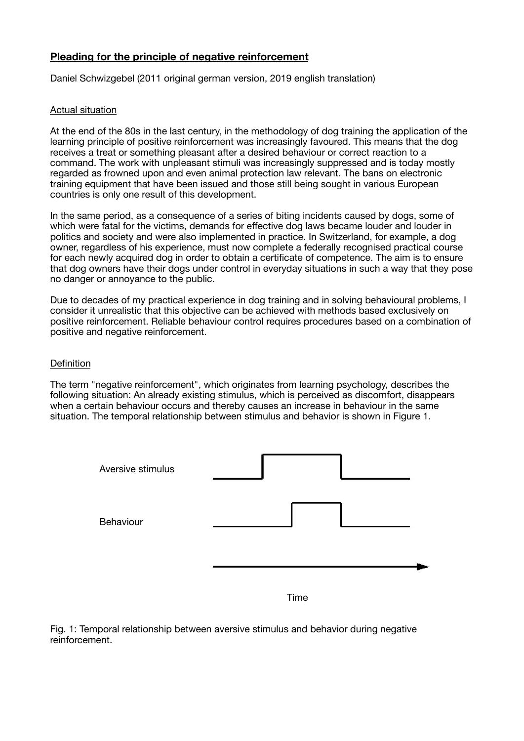# **Pleading for the principle of negative reinforcement**

Daniel Schwizgebel (2011 original german version, 2019 english translation)

## Actual situation

At the end of the 80s in the last century, in the methodology of dog training the application of the learning principle of positive reinforcement was increasingly favoured. This means that the dog receives a treat or something pleasant after a desired behaviour or correct reaction to a command. The work with unpleasant stimuli was increasingly suppressed and is today mostly regarded as frowned upon and even animal protection law relevant. The bans on electronic training equipment that have been issued and those still being sought in various European countries is only one result of this development.

In the same period, as a consequence of a series of biting incidents caused by dogs, some of which were fatal for the victims, demands for effective dog laws became louder and louder in politics and society and were also implemented in practice. In Switzerland, for example, a dog owner, regardless of his experience, must now complete a federally recognised practical course for each newly acquired dog in order to obtain a certificate of competence. The aim is to ensure that dog owners have their dogs under control in everyday situations in such a way that they pose no danger or annoyance to the public.

Due to decades of my practical experience in dog training and in solving behavioural problems, I consider it unrealistic that this objective can be achieved with methods based exclusively on positive reinforcement. Reliable behaviour control requires procedures based on a combination of positive and negative reinforcement.

### **Definition**

The term "negative reinforcement", which originates from learning psychology, describes the following situation: An already existing stimulus, which is perceived as discomfort, disappears when a certain behaviour occurs and thereby causes an increase in behaviour in the same situation. The temporal relationship between stimulus and behavior is shown in Figure 1.



Time

Fig. 1: Temporal relationship between aversive stimulus and behavior during negative reinforcement.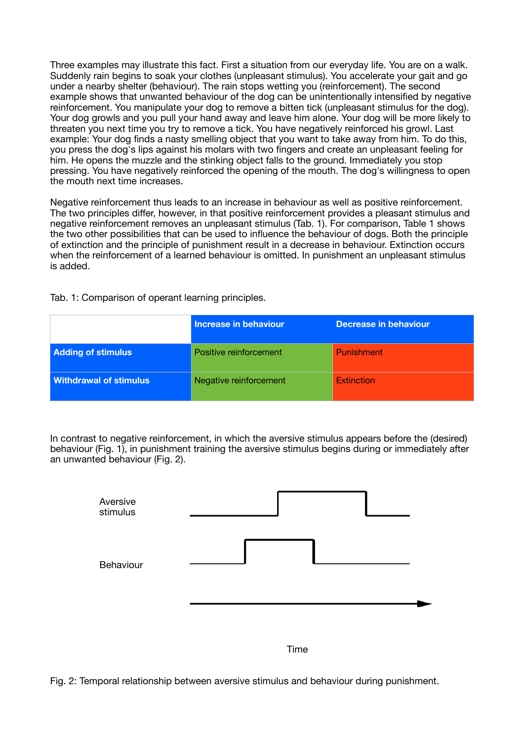Three examples may illustrate this fact. First a situation from our everyday life. You are on a walk. Suddenly rain begins to soak your clothes (unpleasant stimulus). You accelerate your gait and go under a nearby shelter (behaviour). The rain stops wetting you (reinforcement). The second example shows that unwanted behaviour of the dog can be unintentionally intensified by negative reinforcement. You manipulate your dog to remove a bitten tick (unpleasant stimulus for the dog). Your dog growls and you pull your hand away and leave him alone. Your dog will be more likely to threaten you next time you try to remove a tick. You have negatively reinforced his growl. Last example: Your dog finds a nasty smelling object that you want to take away from him. To do this, you press the dog's lips against his molars with two fingers and create an unpleasant feeling for him. He opens the muzzle and the stinking object falls to the ground. Immediately you stop pressing. You have negatively reinforced the opening of the mouth. The dog's willingness to open the mouth next time increases.

Negative reinforcement thus leads to an increase in behaviour as well as positive reinforcement. The two principles differ, however, in that positive reinforcement provides a pleasant stimulus and negative reinforcement removes an unpleasant stimulus (Tab. 1). For comparison, Table 1 shows the two other possibilities that can be used to influence the behaviour of dogs. Both the principle of extinction and the principle of punishment result in a decrease in behaviour. Extinction occurs when the reinforcement of a learned behaviour is omitted. In punishment an unpleasant stimulus is added.

Tab. 1: Comparison of operant learning principles.

|                               | Increase in behaviour  | <b>Decrease in behaviour</b> |
|-------------------------------|------------------------|------------------------------|
| <b>Adding of stimulus</b>     | Positive reinforcement | Punishment                   |
| <b>Withdrawal of stimulus</b> | Negative reinforcement | Extinction                   |

In contrast to negative reinforcement, in which the aversive stimulus appears before the (desired) behaviour (Fig. 1), in punishment training the aversive stimulus begins during or immediately after an unwanted behaviour (Fig. 2).



Fig. 2: Temporal relationship between aversive stimulus and behaviour during punishment.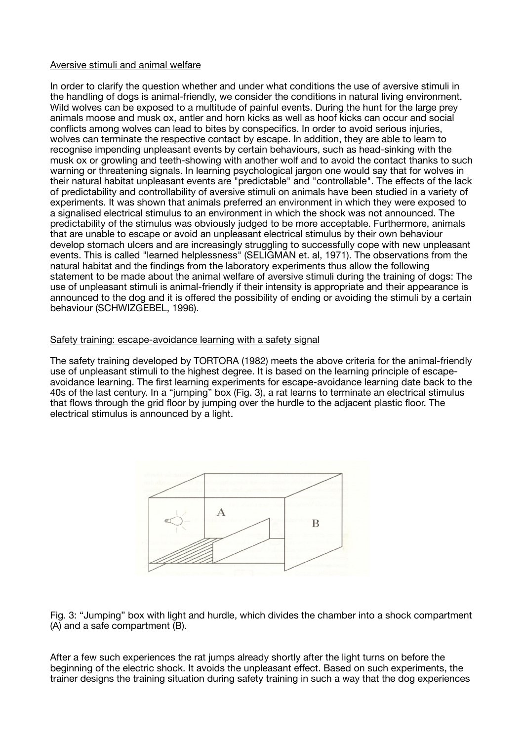### Aversive stimuli and animal welfare

In order to clarify the question whether and under what conditions the use of aversive stimuli in the handling of dogs is animal-friendly, we consider the conditions in natural living environment. Wild wolves can be exposed to a multitude of painful events. During the hunt for the large prey animals moose and musk ox, antler and horn kicks as well as hoof kicks can occur and social conflicts among wolves can lead to bites by conspecifics. In order to avoid serious injuries, wolves can terminate the respective contact by escape. In addition, they are able to learn to recognise impending unpleasant events by certain behaviours, such as head-sinking with the musk ox or growling and teeth-showing with another wolf and to avoid the contact thanks to such warning or threatening signals. In learning psychological jargon one would say that for wolves in their natural habitat unpleasant events are "predictable" and "controllable". The effects of the lack of predictability and controllability of aversive stimuli on animals have been studied in a variety of experiments. It was shown that animals preferred an environment in which they were exposed to a signalised electrical stimulus to an environment in which the shock was not announced. The predictability of the stimulus was obviously judged to be more acceptable. Furthermore, animals that are unable to escape or avoid an unpleasant electrical stimulus by their own behaviour develop stomach ulcers and are increasingly struggling to successfully cope with new unpleasant events. This is called "learned helplessness" (SELIGMAN et. al, 1971). The observations from the natural habitat and the findings from the laboratory experiments thus allow the following statement to be made about the animal welfare of aversive stimuli during the training of dogs: The use of unpleasant stimuli is animal-friendly if their intensity is appropriate and their appearance is announced to the dog and it is offered the possibility of ending or avoiding the stimuli by a certain behaviour (SCHWIZGEBEL, 1996).

### Safety training: escape-avoidance learning with a safety signal

The safety training developed by TORTORA (1982) meets the above criteria for the animal-friendly use of unpleasant stimuli to the highest degree. It is based on the learning principle of escapeavoidance learning. The first learning experiments for escape-avoidance learning date back to the 40s of the last century. In a "jumping" box (Fig. 3), a rat learns to terminate an electrical stimulus that flows through the grid floor by jumping over the hurdle to the adjacent plastic floor. The electrical stimulus is announced by a light.



Fig. 3: "Jumping" box with light and hurdle, which divides the chamber into a shock compartment (A) and a safe compartment (B).

After a few such experiences the rat jumps already shortly after the light turns on before the beginning of the electric shock. It avoids the unpleasant effect. Based on such experiments, the trainer designs the training situation during safety training in such a way that the dog experiences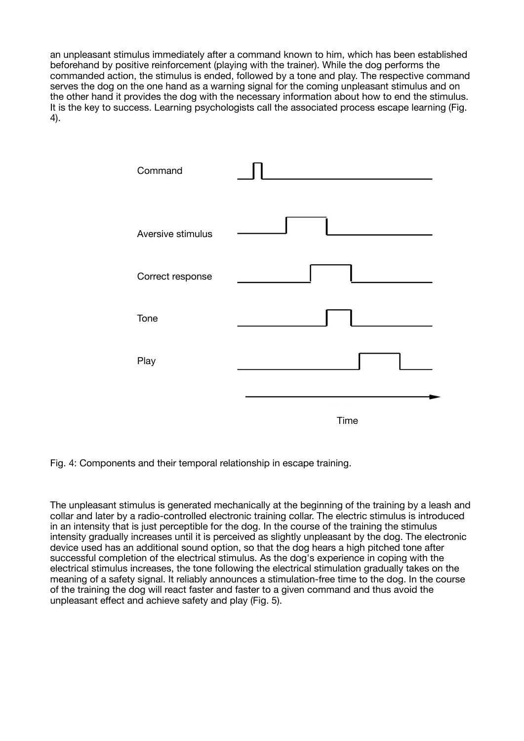an unpleasant stimulus immediately after a command known to him, which has been established beforehand by positive reinforcement (playing with the trainer). While the dog performs the commanded action, the stimulus is ended, followed by a tone and play. The respective command serves the dog on the one hand as a warning signal for the coming unpleasant stimulus and on the other hand it provides the dog with the necessary information about how to end the stimulus. It is the key to success. Learning psychologists call the associated process escape learning (Fig. 4).



Fig. 4: Components and their temporal relationship in escape training.

The unpleasant stimulus is generated mechanically at the beginning of the training by a leash and collar and later by a radio-controlled electronic training collar. The electric stimulus is introduced in an intensity that is just perceptible for the dog. In the course of the training the stimulus intensity gradually increases until it is perceived as slightly unpleasant by the dog. The electronic device used has an additional sound option, so that the dog hears a high pitched tone after successful completion of the electrical stimulus. As the dog's experience in coping with the electrical stimulus increases, the tone following the electrical stimulation gradually takes on the meaning of a safety signal. It reliably announces a stimulation-free time to the dog. In the course of the training the dog will react faster and faster to a given command and thus avoid the unpleasant effect and achieve safety and play (Fig. 5).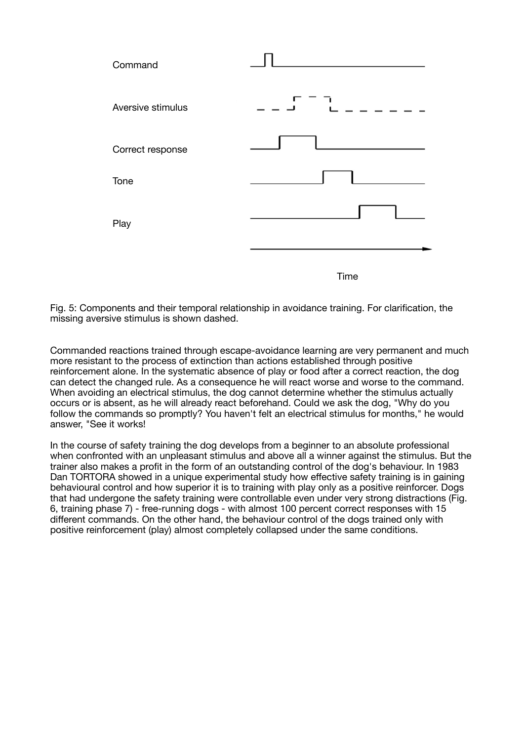

Fig. 5: Components and their temporal relationship in avoidance training. For clarification, the missing aversive stimulus is shown dashed.

Commanded reactions trained through escape-avoidance learning are very permanent and much more resistant to the process of extinction than actions established through positive reinforcement alone. In the systematic absence of play or food after a correct reaction, the dog can detect the changed rule. As a consequence he will react worse and worse to the command. When avoiding an electrical stimulus, the dog cannot determine whether the stimulus actually occurs or is absent, as he will already react beforehand. Could we ask the dog, "Why do you follow the commands so promptly? You haven't felt an electrical stimulus for months," he would answer, "See it works!

In the course of safety training the dog develops from a beginner to an absolute professional when confronted with an unpleasant stimulus and above all a winner against the stimulus. But the trainer also makes a profit in the form of an outstanding control of the dog's behaviour. In 1983 Dan TORTORA showed in a unique experimental study how effective safety training is in gaining behavioural control and how superior it is to training with play only as a positive reinforcer. Dogs that had undergone the safety training were controllable even under very strong distractions (Fig. 6, training phase 7) - free-running dogs - with almost 100 percent correct responses with 15 different commands. On the other hand, the behaviour control of the dogs trained only with positive reinforcement (play) almost completely collapsed under the same conditions.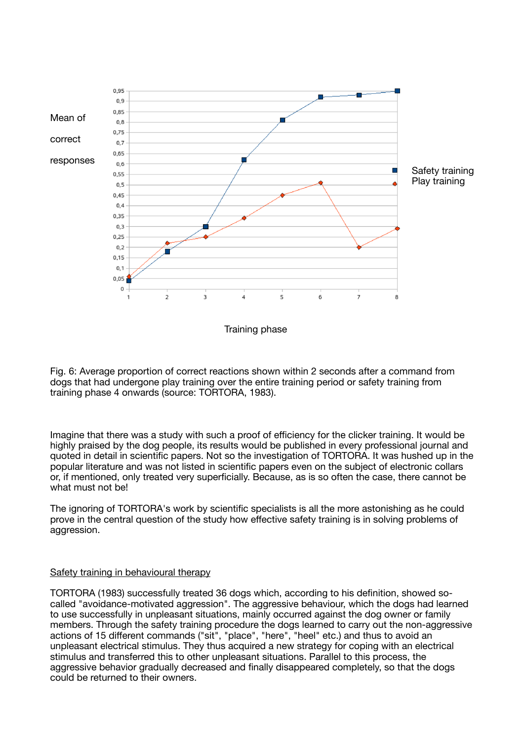

Training phase

Fig. 6: Average proportion of correct reactions shown within 2 seconds after a command from dogs that had undergone play training over the entire training period or safety training from training phase 4 onwards (source: TORTORA, 1983).

Imagine that there was a study with such a proof of efficiency for the clicker training. It would be highly praised by the dog people, its results would be published in every professional journal and quoted in detail in scientific papers. Not so the investigation of TORTORA. It was hushed up in the popular literature and was not listed in scientific papers even on the subject of electronic collars or, if mentioned, only treated very superficially. Because, as is so often the case, there cannot be what must not be!

The ignoring of TORTORA's work by scientific specialists is all the more astonishing as he could prove in the central question of the study how effective safety training is in solving problems of aggression.

## Safety training in behavioural therapy

TORTORA (1983) successfully treated 36 dogs which, according to his definition, showed socalled "avoidance-motivated aggression". The aggressive behaviour, which the dogs had learned to use successfully in unpleasant situations, mainly occurred against the dog owner or family members. Through the safety training procedure the dogs learned to carry out the non-aggressive actions of 15 different commands ("sit", "place", "here", "heel" etc.) and thus to avoid an unpleasant electrical stimulus. They thus acquired a new strategy for coping with an electrical stimulus and transferred this to other unpleasant situations. Parallel to this process, the aggressive behavior gradually decreased and finally disappeared completely, so that the dogs could be returned to their owners.